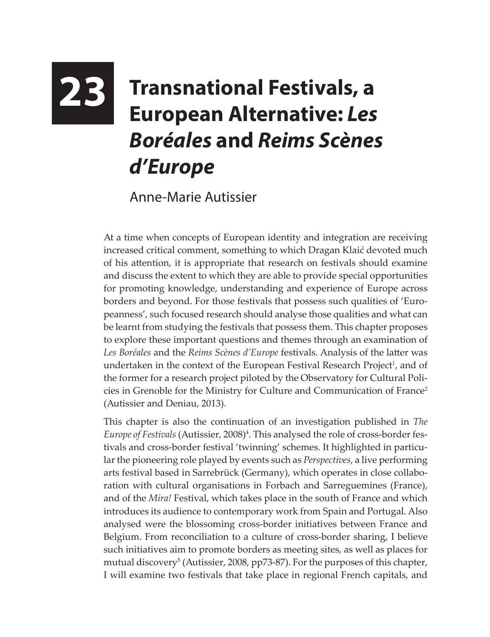## **23 Transnational Festivals, a European Alternative:** *Les Boréales* **and** *Reims Scènes d'Europe*

Anne-Marie Autissier

At a time when concepts of European identity and integration are receiving increased critical comment, something to which Dragan Klaić devoted much of his attention, it is appropriate that research on festivals should examine and discuss the extent to which they are able to provide special opportunities for promoting knowledge, understanding and experience of Europe across borders and beyond. For those festivals that possess such qualities of 'Europeanness', such focused research should analyse those qualities and what can be learnt from studying the festivals that possess them. This chapter proposes to explore these important questions and themes through an examination of *Les Boréales* and the *Reims Scènes d'Europe* festivals. Analysis of the latter was undertaken in the context of the European Festival Research Project<sup>1</sup>, and of the former for a research project piloted by the Observatory for Cultural Policies in Grenoble for the Ministry for Culture and Communication of France<sup>2</sup> (Autissier and Deniau, 2013).

This chapter is also the continuation of an investigation published in *The*  Europe of Festivals (Autissier, 2008)<sup>4</sup>. This analysed the role of cross-border festivals and cross-border festival 'twinning' schemes. It highlighted in particular the pioneering role played by events such as *Perspectives*, a live performing arts festival based in Sarrebrück (Germany), which operates in close collaboration with cultural organisations in Forbach and Sarreguemines (France), and of the *Mira!* Festival, which takes place in the south of France and which introduces its audience to contemporary work from Spain and Portugal. Also analysed were the blossoming cross-border initiatives between France and Belgium. From reconciliation to a culture of cross-border sharing, I believe such initiatives aim to promote borders as meeting sites, as well as places for mutual discovery<sup>5</sup> (Autissier, 2008, pp73-87). For the purposes of this chapter, I will examine two festivals that take place in regional French capitals, and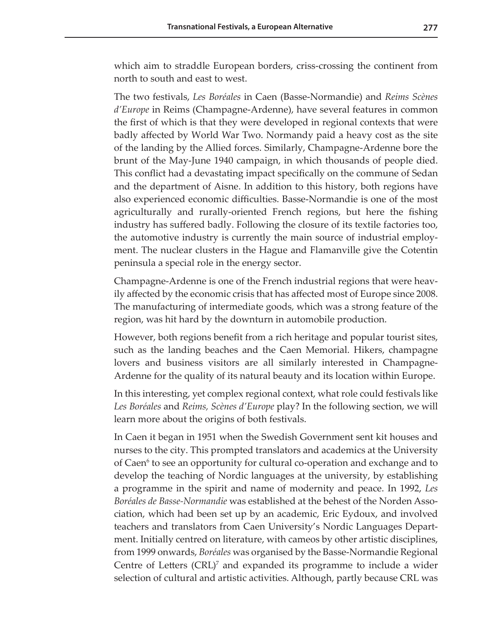which aim to straddle European borders, criss-crossing the continent from north to south and east to west.

The two festivals, *Les Boréales* in Caen (Basse-Normandie) and *Reims Scènes d'Europe* in Reims (Champagne-Ardenne), have several features in common the first of which is that they were developed in regional contexts that were badly affected by World War Two. Normandy paid a heavy cost as the site of the landing by the Allied forces. Similarly, Champagne-Ardenne bore the brunt of the May-June 1940 campaign, in which thousands of people died. This conflict had a devastating impact specifically on the commune of Sedan and the department of Aisne. In addition to this history, both regions have also experienced economic difficulties. Basse-Normandie is one of the most agriculturally and rurally-oriented French regions, but here the fishing industry has suffered badly. Following the closure of its textile factories too, the automotive industry is currently the main source of industrial employment. The nuclear clusters in the Hague and Flamanville give the Cotentin peninsula a special role in the energy sector.

Champagne-Ardenne is one of the French industrial regions that were heavily affected by the economic crisis that has affected most of Europe since 2008. The manufacturing of intermediate goods, which was a strong feature of the region, was hit hard by the downturn in automobile production.

However, both regions benefit from a rich heritage and popular tourist sites, such as the landing beaches and the Caen Memorial. Hikers, champagne lovers and business visitors are all similarly interested in Champagne-Ardenne for the quality of its natural beauty and its location within Europe.

In this interesting, yet complex regional context, what role could festivals like *Les Boréales* and *Reims, Scènes d'Europe* play? In the following section, we will learn more about the origins of both festivals.

In Caen it began in 1951 when the Swedish Government sent kit houses and nurses to the city. This prompted translators and academics at the University of Caen<sup>6</sup> to see an opportunity for cultural co-operation and exchange and to develop the teaching of Nordic languages at the university, by establishing a programme in the spirit and name of modernity and peace. In 1992, *Les Boréales de Basse-Normandie* was established at the behest of the Norden Association, which had been set up by an academic, Eric Eydoux, and involved teachers and translators from Caen University's Nordic Languages Department. Initially centred on literature, with cameos by other artistic disciplines, from 1999 onwards, *Boréales* was organised by the Basse-Normandie Regional Centre of Letters (CRL)<sup>7</sup> and expanded its programme to include a wider selection of cultural and artistic activities. Although, partly because CRL was